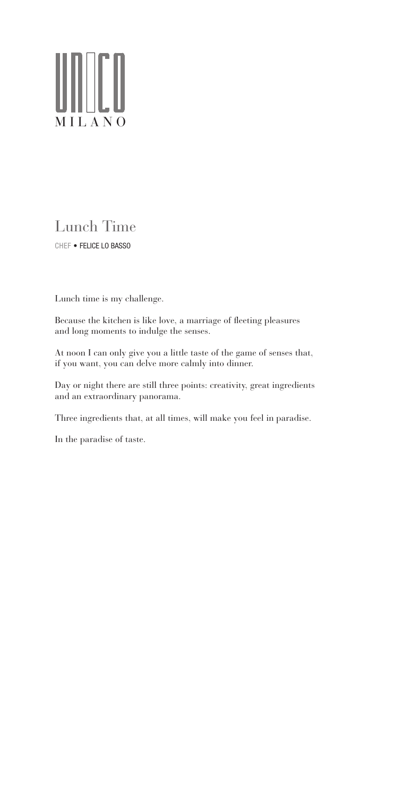# ∭∐ MILANO

Lunch time is my challenge.

Because the kitchen is like love, a marriage of fleeting pleasures and long moments to indulge the senses.

At noon I can only give you a little taste of the game of senses that, if you want, you can delve more calmly into dinner.

Day or night there are still three points: creativity, great ingredients and an extraordinary panorama.

Three ingredients that, at all times, will make you feel in paradise.

In the paradise of taste.

#### Lunch Time CHEF • FELICE LO BASSO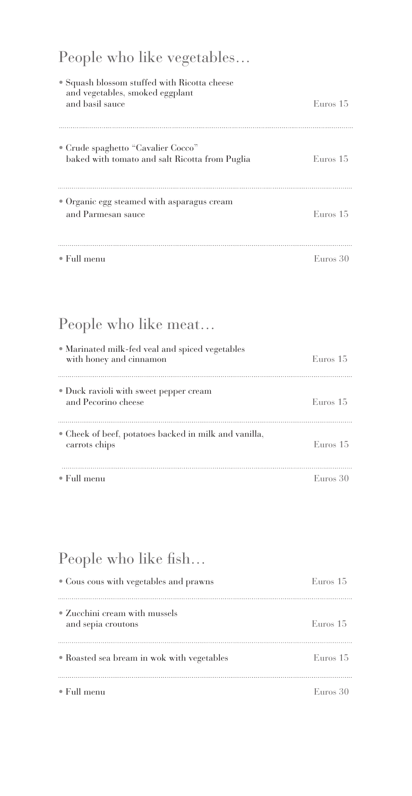## People who like vegetables…

| • Squash blossom stuffed with Ricotta cheese<br>and vegetables, smoked eggplant<br>and basil sauce | Euros 15 |
|----------------------------------------------------------------------------------------------------|----------|
| • Crude spaghetto "Cavalier Cocco"<br>baked with tomato and salt Ricotta from Puglia               | Euros 15 |
| • Organic egg steamed with asparagus cream<br>and Parmesan sauce                                   | Euros 15 |
| $\bullet$ Full menu                                                                                | Euros 30 |

### People who like meat…

| • Marinated milk-fed veal and spiced vegetables<br>with honey and cinnamon | Euros 15 |
|----------------------------------------------------------------------------|----------|
| • Duck ravioli with sweet pepper cream<br>and Pecorino cheese              | Euros 15 |
| • Cheek of beef, potatoes backed in milk and vanilla,<br>carrots chips     | Euros 15 |
| $\bullet$ Full menu                                                        | Euros 30 |

## People who like fish…

| ■ Cous cous with vegetables and prawns              | EUITOS 15  |
|-----------------------------------------------------|------------|
| • Zucchini cream with mussels<br>and sepia croutons | Euros 15   |
| • Roasted sea bream in wok with vegetables          | Euros $15$ |
| $\bullet$ Full menu                                 | Euros 30   |